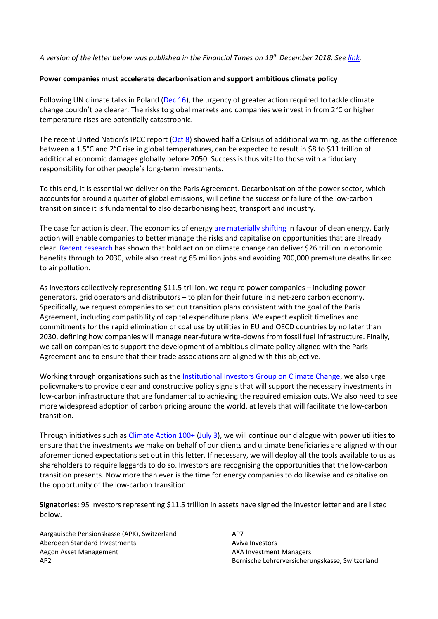## *A version of the letter below was published in the Financial Times on 19th December 2018. See [link.](https://www.ft.com/content/8d80c8e4-02f7-11e9-99df-6183d3002ee1)*

## **Power companies must accelerate decarbonisation and support ambitious climate policy**

Following UN climate talks in Poland [\(Dec 16\)](https://www.ft.com/content/89a7b338-0138-11e9-99df-6183d3002ee1), the urgency of greater action required to tackle climate change couldn't be clearer. The risks to global markets and companies we invest in from 2°C or higher temperature rises are potentially catastrophic.

The recent United Nation's IPCC report [\(Oct 8\)](https://www.ft.com/content/353d0cac-ca52-11e8-9fe5-24ad351828ab) showed half a Celsius of additional warming, as the difference between a 1.5°C and 2°C rise in global temperatures, can be expected to result in \$8 to \$11 trillion of additional economic damages globally before 2050. Success is thus vital to those with a fiduciary responsibility for other people's long-term investments.

To this end, it is essential we deliver on the Paris Agreement. Decarbonisation of the power sector, which accounts for around a quarter of global emissions, will define the success or failure of the low-carbon transition since it is fundamental to also decarbonising heat, transport and industry.

The case for action is clear. The economics of energy are [materially shifting](https://about.bnef.com/new-energy-outlook/) in favour of clean energy. Early action will enable companies to better manage the risks and capitalise on opportunities that are already clear. [Recent research](https://newclimateeconomy.report/) has shown that bold action on climate change can deliver \$26 trillion in economic benefits through to 2030, while also creating 65 million jobs and avoiding 700,000 premature deaths linked to air pollution.

As investors collectively representing \$11.5 trillion, we require power companies – including power generators, grid operators and distributors – to plan for their future in a net-zero carbon economy. Specifically, we request companies to set out transition plans consistent with the goal of the Paris Agreement, including compatibility of capital expenditure plans. We expect explicit timelines and commitments for the rapid elimination of coal use by utilities in EU and OECD countries by no later than 2030, defining how companies will manage near-future write-downs from fossil fuel infrastructure. Finally, we call on companies to support the development of ambitious climate policy aligned with the Paris Agreement and to ensure that their trade associations are aligned with this objective.

Working through organisations such as th[e Institutional Investors Group on Climate Change,](http://www.iigcc.org/) we also urge policymakers to provide clear and constructive policy signals that will support the necessary investments in low-carbon infrastructure that are fundamental to achieving the required emission cuts. We also need to see more widespread adoption of carbon pricing around the world, at levels that will facilitate the low-carbon transition.

Through initiatives such as [Climate Action 100+](https://climateaction100.wordpress.com/) [\(July 3\)](https://www.ft.com/content/b3213fac-7e8b-11e8-bc55-50daf11b720d), we will continue our dialogue with power utilities to ensure that the investments we make on behalf of our clients and ultimate beneficiaries are aligned with our aforementioned expectations set out in this letter. If necessary, we will deploy all the tools available to us as shareholders to require laggards to do so. Investors are recognising the opportunities that the low-carbon transition presents. Now more than ever is the time for energy companies to do likewise and capitalise on the opportunity of the low-carbon transition.

**Signatories:** 95 investors representing \$11.5 trillion in assets have signed the investor letter and are listed below.

Aargauische Pensionskasse (APK), Switzerland Aberdeen Standard Investments Aegon Asset Management AP2

AP7 Aviva Investors AXA Investment Managers Bernische Lehrerversicherungskasse, Switzerland